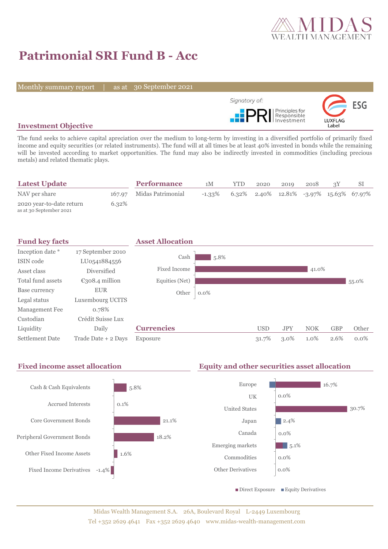

# **Patrimonial SRI Fund B - Acc**

Monthly summary report | as at 30 September 2021



### **Investment Objective**

The fund seeks to achieve capital apreciation over the medium to long-term by investing in a diversified portfolio of primarily fixed income and equity securities (or related instruments). The fund will at all times be at least 40% invested in bonds while the remaining will be invested according to market opportunities. The fund may also be indirectly invested in commodities (including precious metals) and related thematic plays.

| <b>Latest Update</b>                                |       | <b>Performance</b>       | 1М        | <b>YTD</b> | 2020 | 2019 | 2018 |                                            |
|-----------------------------------------------------|-------|--------------------------|-----------|------------|------|------|------|--------------------------------------------|
| NAV per share                                       |       | 167.97 Midas Patrimonial | $-1.33\%$ |            |      |      |      | $6.32\%$ 2.40% 12.81% -3.97% 15.63% 67.97% |
| 2020 year-to-date return<br>as at 30 September 2021 | 6.32% |                          |           |            |      |      |      |                                            |



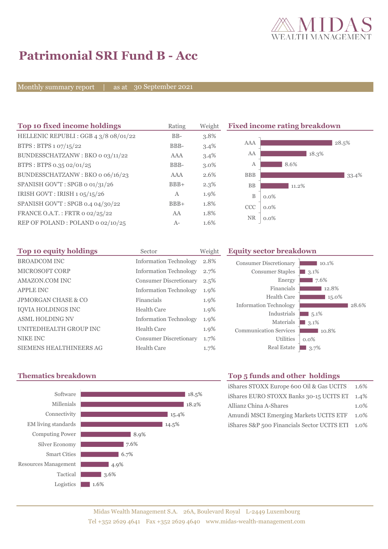

# **Patrimonial SRI Fund B - Acc**

Monthly summary report | as at 30 September 2021

| Top 10 fixed income holdings          | Rating       | Weight  |                  | <b>Fixed income rating breakdown</b> |
|---------------------------------------|--------------|---------|------------------|--------------------------------------|
| HELLENIC REPUBLI : GGB 4 3/8 08/01/22 | $BB-$        | 3.8%    |                  |                                      |
| BTPS: BTPS $1.07/15/22$               | BBB-         | $3.4\%$ | AAA              | 28.5%                                |
| BUNDESSCHATZANW: BKO 0 03/11/22       | AAA          | 3.4%    | AA               | 18.3%                                |
| BTPS: BTPS 0.35 02/01/25              | BBB-         | $3.0\%$ | $\boldsymbol{A}$ | 8.6%                                 |
| BUNDESSCHATZANW: BKO o 06/16/23       | AAA          | 2.6%    | <b>BBB</b>       | 33.4%                                |
| SPANISH GOV'T: SPGB o 01/31/26        | $BBB+$       | $2.3\%$ | <b>BB</b>        | 11.2%                                |
| IRISH GOVT : IRISH $1.05/15/26$       | $\mathbf{A}$ | 1.9%    | $\mathbf B$      | $0.0\%$                              |
| SPANISH GOV'T: SPGB 0.4 04/30/22      | $BBB+$       | 1.8%    | CCC              | $0.0\%$                              |
| FRANCE O.A.T.: FRTR 0 02/25/22        | AA           | 1.8%    |                  |                                      |
| REP OF POLAND: POLAND 0 02/10/25      | $A-$         | 1.6%    | <b>NR</b>        | $0.0\%$                              |

| Top 10 equity holdings         | Sector                        | Weight | Εq |
|--------------------------------|-------------------------------|--------|----|
| <b>BROADCOM INC</b>            | <b>Information Technology</b> | 2.8%   |    |
| <b>MICROSOFT CORP</b>          | <b>Information Technology</b> | 2.7%   |    |
| AMAZON.COM INC                 | <b>Consumer Discretionary</b> | 2.5%   |    |
| <b>APPLE INC</b>               | <b>Information Technology</b> | 1.9%   |    |
| <b>JPMORGAN CHASE &amp; CO</b> | Financials                    | 1.9%   |    |
| <b>IOVIA HOLDINGS INC</b>      | <b>Health Care</b>            | 1.9%   |    |
| <b>ASML HOLDING NV</b>         | <b>Information Technology</b> | 1.9%   |    |
| UNITEDHEALTH GROUP INC         | <b>Health Care</b>            | 1.9%   |    |
| <b>NIKE INC</b>                | <b>Consumer Discretionary</b> | 1.7%   |    |
| <b>SIEMENS HEALTHINEERS AG</b> | <b>Health Care</b>            | 1.7%   |    |

#### **Top 10 equity holdings** Sector Weight **Equity sector breakdown**





## **Thematics breakdown Top 5 funds and other holdings**

| iShares STOXX Europe 600 Oil & Gas UCITS 1.6%    |      |  |  |
|--------------------------------------------------|------|--|--|
| iShares EURO STOXX Banks 30-15 UCITS ET          | 1.4% |  |  |
| Allianz China A-Shares                           |      |  |  |
| Amundi MSCI Emerging Markets UCITS ETF           |      |  |  |
| iShares S&P 500 Financials Sector UCITS ETI 1.0% |      |  |  |